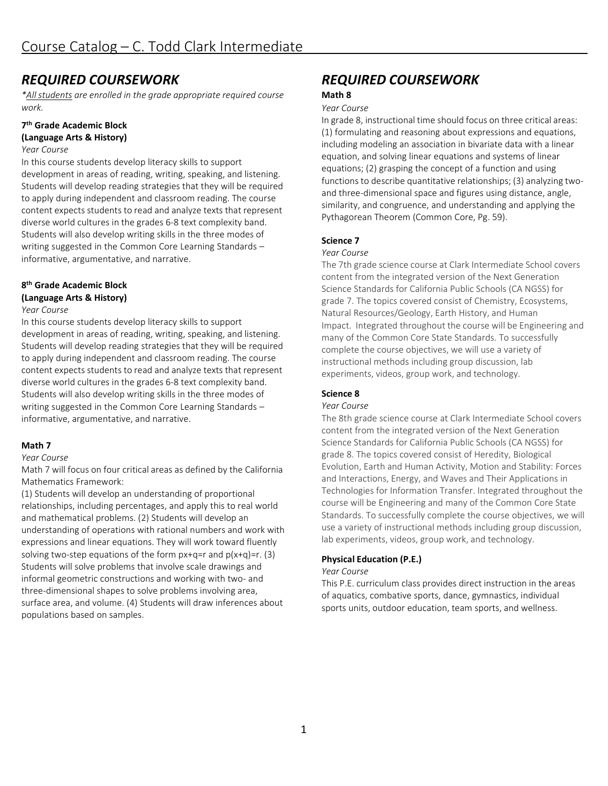# *REQUIRED COURSEWORK*

*\*All students are enrolled in the grade appropriate required course work.*

# **7th Grade Academic Block**

# **(Language Arts & History)**

*Year Course*

In this course students develop literacy skills to support development in areas of reading, writing, speaking, and listening. Students will develop reading strategies that they will be required to apply during independent and classroom reading. The course content expects students to read and analyze texts that represent diverse world cultures in the grades 6-8 text complexity band. Students will also develop writing skills in the three modes of writing suggested in the Common Core Learning Standards – informative, argumentative, and narrative.

# **8th Grade Academic Block (Language Arts & History)**

#### *Year Course*

In this course students develop literacy skills to support development in areas of reading, writing, speaking, and listening. Students will develop reading strategies that they will be required to apply during independent and classroom reading. The course content expects students to read and analyze texts that represent diverse world cultures in the grades 6-8 text complexity band. Students will also develop writing skills in the three modes of writing suggested in the Common Core Learning Standards – informative, argumentative, and narrative.

# **Math 7**

*Year Course*

Math 7 will focus on four critical areas as defined by the California Mathematics Framework:

(1) Students will develop an understanding of proportional relationships, including percentages, and apply this to real world and mathematical problems. (2) Students will develop an understanding of operations with rational numbers and work with expressions and linear equations. They will work toward fluently solving two-step equations of the form  $px+q=r$  and  $p(x+q)=r$ . (3) Students will solve problems that involve scale drawings and informal geometric constructions and working with two- and three-dimensional shapes to solve problems involving area, surface area, and volume. (4) Students will draw inferences about populations based on samples.

# *REQUIRED COURSEWORK* **Math 8**

#### *Year Course*

In grade 8, instructional time should focus on three critical areas: (1) formulating and reasoning about expressions and equations, including modeling an association in bivariate data with a linear equation, and solving linear equations and systems of linear equations; (2) grasping the concept of a function and using functions to describe quantitative relationships; (3) analyzing twoand three-dimensional space and figures using distance, angle, similarity, and congruence, and understanding and applying the Pythagorean Theorem (Common Core, Pg. 59).

### **Science 7**

#### *Year Course*

The 7th grade science course at Clark Intermediate School covers content from the integrated version of the Next Generation Science Standards for California Public Schools (CA NGSS) for grade 7. The topics covered consist of Chemistry, Ecosystems, Natural Resources/Geology, Earth History, and Human Impact. Integrated throughout the course will be Engineering and many of the Common Core State Standards. To successfully complete the course objectives, we will use a variety of instructional methods including group discussion, lab experiments, videos, group work, and technology.

# **Science 8**

#### *Year Course*

The 8th grade science course at Clark Intermediate School covers content from the integrated version of the Next Generation Science Standards for California Public Schools (CA NGSS) for grade 8. The topics covered consist of Heredity, Biological Evolution, Earth and Human Activity, Motion and Stability: Forces and Interactions, Energy, and Waves and Their Applications in Technologies for Information Transfer. Integrated throughout the course will be Engineering and many of the Common Core State Standards. To successfully complete the course objectives, we will use a variety of instructional methods including group discussion, lab experiments, videos, group work, and technology.

# **Physical Education (P.E.)**

#### *Year Course*

This P.E. curriculum class provides direct instruction in the areas of aquatics, combative sports, dance, gymnastics, individual sports units, outdoor education, team sports, and wellness.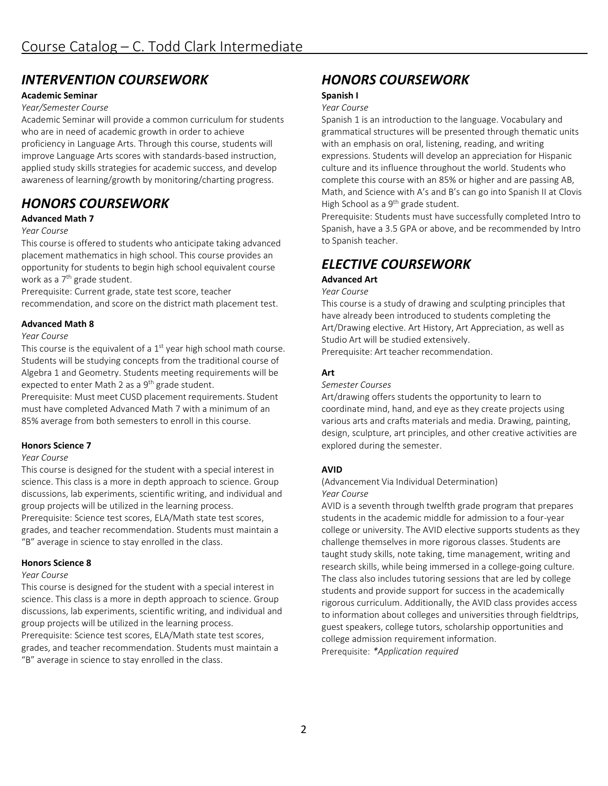# *INTERVENTION COURSEWORK*

# **Academic Seminar**

#### *Year/Semester Course*

Academic Seminar will provide a common curriculum for students who are in need of academic growth in order to achieve proficiency in Language Arts. Through this course, students will improve Language Arts scores with standards-based instruction, applied study skills strategies for academic success, and develop awareness of learning/growth by monitoring/charting progress.

# *HONORS COURSEWORK*

### **Advanced Math 7**

#### *Year Course*

This course is offered to students who anticipate taking advanced placement mathematics in high school. This course provides an opportunity for students to begin high school equivalent course work as a 7<sup>th</sup> grade student.

Prerequisite: Current grade, state test score, teacher recommendation, and score on the district math placement test.

#### **Advanced Math 8**

#### *Year Course*

This course is the equivalent of a  $1<sup>st</sup>$  year high school math course. Students will be studying concepts from the traditional course of Algebra 1 and Geometry. Students meeting requirements will be expected to enter Math 2 as a  $9<sup>th</sup>$  grade student.

Prerequisite: Must meet CUSD placement requirements. Student must have completed Advanced Math 7 with a minimum of an 85% average from both semesters to enroll in this course.

#### **Honors Science 7**

#### *Year Course*

This course is designed for the student with a special interest in science. This class is a more in depth approach to science. Group discussions, lab experiments, scientific writing, and individual and group projects will be utilized in the learning process. Prerequisite: Science test scores, ELA/Math state test scores, grades, and teacher recommendation. Students must maintain a "B" average in science to stay enrolled in the class.

#### **Honors Science 8**

#### *Year Course*

This course is designed for the student with a special interest in science. This class is a more in depth approach to science. Group discussions, lab experiments, scientific writing, and individual and group projects will be utilized in the learning process.

Prerequisite: Science test scores, ELA/Math state test scores, grades, and teacher recommendation. Students must maintain a "B" average in science to stay enrolled in the class.

# *HONORS COURSEWORK*

#### **Spanish I**

#### *Year Course*

Spanish 1 is an introduction to the language. Vocabulary and grammatical structures will be presented through thematic units with an emphasis on oral, listening, reading, and writing expressions. Students will develop an appreciation for Hispanic culture and its influence throughout the world. Students who complete this course with an 85% or higher and are passing AB, Math, and Science with A's and B's can go into Spanish II at Clovis High School as a 9<sup>th</sup> grade student.

Prerequisite: Students must have successfully completed Intro to Spanish, have a 3.5 GPA or above, and be recommended by Intro to Spanish teacher.

# *ELECTIVE COURSEWORK*

# **Advanced Art**

#### *Year Course*

This course is a study of drawing and sculpting principles that have already been introduced to students completing the Art/Drawing elective. Art History, Art Appreciation, as well as Studio Art will be studied extensively.

Prerequisite: Art teacher recommendation.

#### **Art**

#### *Semester Courses*

Art/drawing offers students the opportunity to learn to coordinate mind, hand, and eye as they create projects using various arts and crafts materials and media. Drawing, painting, design, sculpture, art principles, and other creative activities are explored during the semester.

#### **AVID**

(Advancement Via Individual Determination) *Year Course*

AVID is a seventh through twelfth grade program that prepares students in the academic middle for admission to a four-year college or university. The AVID elective supports students as they challenge themselves in more rigorous classes. Students are taught study skills, note taking, time management, writing and research skills, while being immersed in a college-going culture. The class also includes tutoring sessions that are led by college students and provide support for success in the academically rigorous curriculum. Additionally, the AVID class provides access to information about colleges and universities through fieldtrips, guest speakers, college tutors, scholarship opportunities and college admission requirement information. Prerequisite: *\*Application required*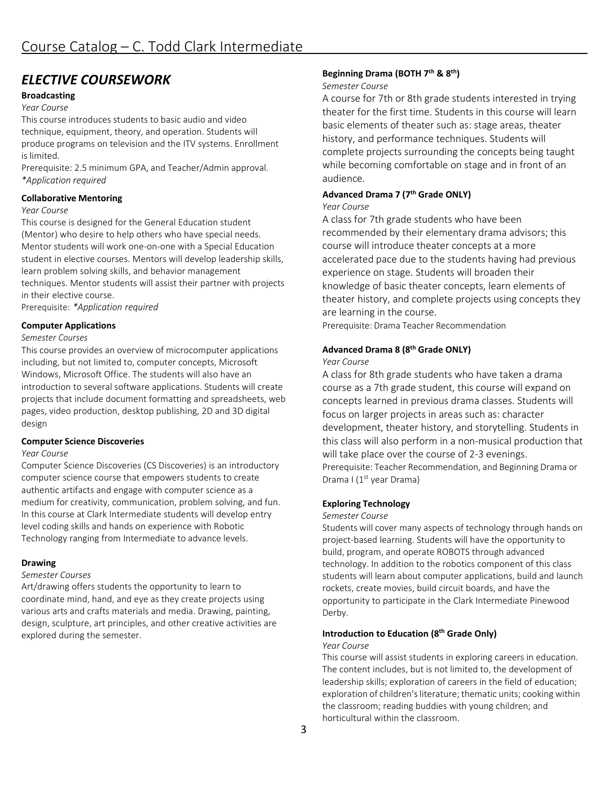# *ELECTIVE COURSEWORK*

# **Broadcasting**

#### *Year Course*

This course introduces students to basic audio and video technique, equipment, theory, and operation. Students will produce programs on television and the ITV systems. Enrollment is limited.

Prerequisite: 2.5 minimum GPA, and Teacher/Admin approval. *\*Application required*

#### **Collaborative Mentoring**

#### *Year Course*

This course is designed for the General Education student (Mentor) who desire to help others who have special needs. Mentor students will work one-on-one with a Special Education student in elective courses. Mentors will develop leadership skills, learn problem solving skills, and behavior management techniques. Mentor students will assist their partner with projects in their elective course.

Prerequisite: *\*Application required*

### **Computer Applications**

#### *Semester Courses*

This course provides an overview of microcomputer applications including, but not limited to, computer concepts, Microsoft Windows, Microsoft Office. The students will also have an introduction to several software applications. Students will create projects that include document formatting and spreadsheets, web pages, video production, desktop publishing, 2D and 3D digital design

#### **Computer Science Discoveries**

#### *Year Course*

Computer Science Discoveries (CS Discoveries) is an introductory computer science course that empowers students to create authentic artifacts and engage with computer science as a medium for creativity, communication, problem solving, and fun. In this course at Clark Intermediate students will develop entry level coding skills and hands on experience with Robotic Technology ranging from Intermediate to advance levels.

#### **Drawing**

#### *Semester Courses*

Art/drawing offers students the opportunity to learn to coordinate mind, hand, and eye as they create projects using various arts and crafts materials and media. Drawing, painting, design, sculpture, art principles, and other creative activities are explored during the semester.

### **Beginning Drama (BOTH 7th & 8th)**

#### *Semester Course*

A course for 7th or 8th grade students interested in trying theater for the first time. Students in this course will learn basic elements of theater such as: stage areas, theater history, and performance techniques. Students will complete projects surrounding the concepts being taught while becoming comfortable on stage and in front of an audience.

# **Advanced Drama 7 (7th Grade ONLY)**

#### *Year Course*

A class for 7th grade students who have been recommended by their elementary drama advisors; this course will introduce theater concepts at a more accelerated pace due to the students having had previous experience on stage. Students will broaden their knowledge of basic theater concepts, learn elements of theater history, and complete projects using concepts they are learning in the course.

Prerequisite: Drama Teacher Recommendation

### **Advanced Drama 8 (8th Grade ONLY)**

#### *Year Course*

A class for 8th grade students who have taken a drama course as a 7th grade student, this course will expand on concepts learned in previous drama classes. Students will focus on larger projects in areas such as: character development, theater history, and storytelling. Students in this class will also perform in a non-musical production that will take place over the course of 2-3 evenings. Prerequisite: Teacher Recommendation, and Beginning Drama or Drama I (1<sup>st</sup> year Drama)

#### **Exploring Technology**

#### *Semester Course*

Students will cover many aspects of technology through hands on project-based learning. Students will have the opportunity to build, program, and operate ROBOTS through advanced technology. In addition to the robotics component of this class students will learn about computer applications, build and launch rockets, create movies, build circuit boards, and have the opportunity to participate in the Clark Intermediate Pinewood Derby.

#### **Introduction to Education (8th Grade Only)**

#### *Year Course*

This course will assist students in exploring careers in education. The content includes, but is not limited to, the development of leadership skills; exploration of careers in the field of education; exploration of children's literature; thematic units; cooking within the classroom; reading buddies with young children; and horticultural within the classroom.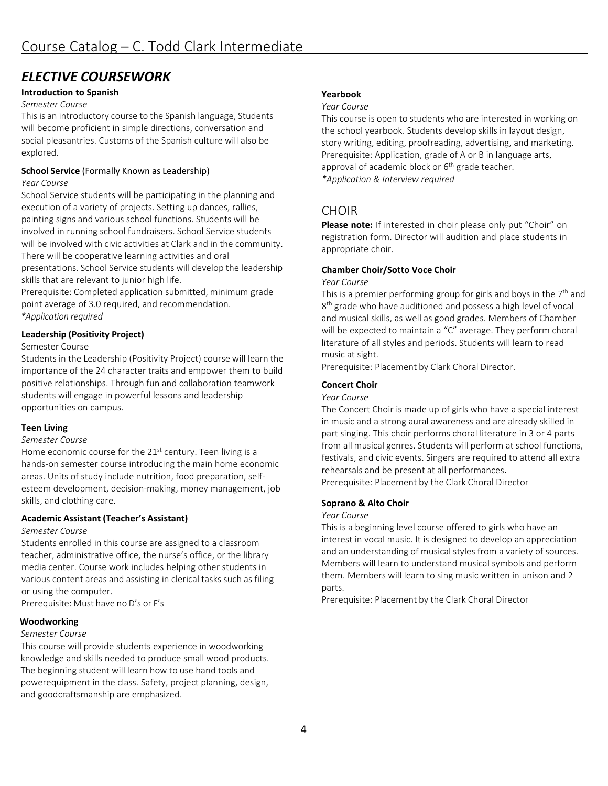# *ELECTIVE COURSEWORK*

# **Introduction to Spanish**

#### *Semester Course*

This is an introductory course to the Spanish language, Students will become proficient in simple directions, conversation and social pleasantries. Customs of the Spanish culture will also be explored.

### **School Service** (Formally Known as Leadership)

#### *Year Course*

School Service students will be participating in the planning and execution of a variety of projects. Setting up dances, rallies, painting signs and various school functions. Students will be involved in running school fundraisers. School Service students will be involved with civic activities at Clark and in the community. There will be cooperative learning activities and oral presentations. School Service students will develop the leadership skills that are relevant to junior high life.

Prerequisite: Completed application submitted, minimum grade point average of 3.0 required, and recommendation. *\*Application required*

# **Leadership (Positivity Project)**

#### Semester Course

Students in the Leadership (Positivity Project) course will learn the importance of the 24 character traits and empower them to build positive relationships. Through fun and collaboration teamwork students will engage in powerful lessons and leadership opportunities on campus.

# **Teen Living**

#### *Semester Course*

Home economic course for the 21<sup>st</sup> century. Teen living is a hands-on semester course introducing the main home economic areas. Units of study include nutrition, food preparation, selfesteem development, decision-making, money management, job skills, and clothing care.

# **Academic Assistant (Teacher's Assistant)**

#### *Semester Course*

Students enrolled in this course are assigned to a classroom teacher, administrative office, the nurse's office, or the library media center. Course work includes helping other students in various content areas and assisting in clerical tasks such as filing or using the computer.

Prerequisite: Must have no D's or F's

# **Woodworking**

# *Semester Course*

This course will provide students experience in woodworking knowledge and skills needed to produce small wood products. The beginning student will learn how to use hand tools and powerequipment in the class. Safety, project planning, design, and goodcraftsmanship are emphasized.

### **Yearbook**

#### *Year Course*

This course is open to students who are interested in working on the school yearbook. Students develop skills in layout design, story writing, editing, proofreading, advertising, and marketing. Prerequisite: Application, grade of A or B in language arts, approval of academic block or  $6<sup>th</sup>$  grade teacher. *\*Application & Interview required*

# CHOIR

**Please note:** If interested in choir please only put "Choir" on registration form. Director will audition and place students in appropriate choir.

# **Chamber Choir/Sotto Voce Choir**

#### *Year Course*

This is a premier performing group for girls and boys in the  $7<sup>th</sup>$  and 8<sup>th</sup> grade who have auditioned and possess a high level of vocal and musical skills, as well as good grades. Members of Chamber will be expected to maintain a "C" average. They perform choral literature of all styles and periods. Students will learn to read music at sight.

Prerequisite: Placement by Clark Choral Director.

# **Concert Choir**

#### *Year Course*

The Concert Choir is made up of girls who have a special interest in music and a strong aural awareness and are already skilled in part singing. This choir performs choral literature in 3 or 4 parts from all musical genres. Students will perform at school functions, festivals, and civic events. Singers are required to attend all extra rehearsals and be present at all performances. Prerequisite: Placement by the Clark Choral Director

# **Soprano & Alto Choir**

#### *Year Course*

This is a beginning level course offered to girls who have an interest in vocal music. It is designed to develop an appreciation and an understanding of musical styles from a variety of sources. Members will learn to understand musical symbols and perform them. Members will learn to sing music written in unison and 2 parts.

Prerequisite: Placement by the Clark Choral Director